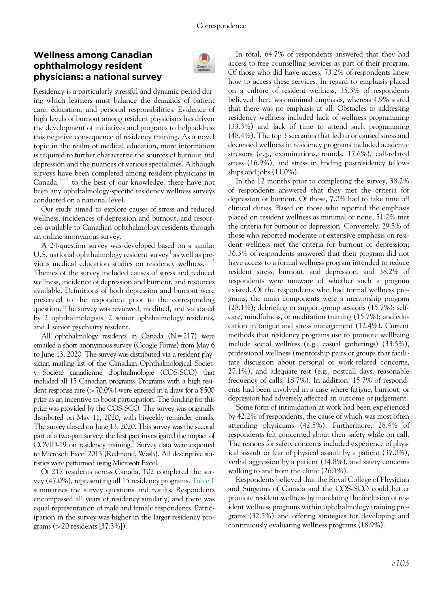## Wellness among Canadian ophthalmology resident physicians: a national survey



Residency is a particularly stressful and dynamic period during which learners must balance the demands of patient care, education, and personal responsibilities. Evidence of high levels of burnout among resident physicians has driven the development of initiatives and programs to help address this negative consequence of residency training. As a novel topic in the realm of medical education, more information is required to further characterize the sources of burnout and depression and the nuances of various specialities. Although surveys have been completed among resident physicians in Canada, $1^{-3}$  $1^{-3}$  $1^{-3}$  $1^{-3}$  to the best of our knowledge, there have not been any ophthalmology-specific residency wellness surveys conducted on a national level.

Our study aimed to explore causes of stress and reduced wellness, incidences of depression and burnout, and resources available to Canadian ophthalmology residents through an online anonymous survey.

A 24-question survey was developed based on a similar U.S. national ophthalmology resident survey<sup>[4](#page-3-1)</sup> as well as pre-vious medical education studies on residency wellness.<sup>[1](#page-3-0)-[3](#page-3-0)</sup> Themes of the survey included causes of stress and reduced wellness, incidence of depression and burnout, and resources available. Definitions of both depression and burnout were presented to the respondent prior to the corresponding question. The survey was reviewed, modified, and validated by 2 ophthalmologists, 2 senior ophthalmology residents, and 1 senior psychiatry resident.

All ophthalmology residents in Canada  $(N = 217)$  were emailed a short anonymous survey (Google Forms) from May 6 to June 13, 2020. The survey was distributed via a resident physician mailing list of the Canadian Ophthalmological Society-Société canadienne d'ophtalmologie (COS-SCO) that included all 15 Canadian programs. Programs with a high resident response rate (>70.0%) were entered in a draw for a \$500 prize as an incentive to boost participation. The funding for this prize was provided by the COS-SCO. The survey was originally distributed on May 11, 2020, with biweekly reminder emails. The survey closed on June 13, 2020. This survey was the second part of a two-part survey; the first part investigated the impact of COVID-19 on residency training.<sup>5</sup> Survey data were exported to Microsoft Excel 2013 (Redmond, Wash). All descriptive statistics were performed using Microsoft Excel.

Of 217 residents across Canada, 102 completed the survey (47.0%), representing all 15 residency programs. [Table 1](#page-1-0) summarizes the survey questions and results. Respondents encompassed all years of residency similarly, and there was equal representation of male and female respondents. Participation in the survey was higher in the larger residency programs (>20 residents [37.3%]).

In total, 64.7% of respondents answered that they had access to free counselling services as part of their program. Of those who did have access, 73.2% of respondents knew how to access these services. In regard to emphasis placed on a culture of resident wellness, 35.3% of respondents believed there was minimal emphasis, whereas 4.9% stated that there was no emphasis at all. Obstacles to addressing residency wellness included lack of wellness programming (33.3%) and lack of time to attend such programming (48.4%). The top 3 scenarios that led to or caused stress and decreased wellness in residency programs included academic stressors (e.g., examinations, rounds, 17.6%), call-related stress (16.9%), and stress in finding postresidency fellowships and jobs (11.0%).

In the 12 months prior to completing the survey, 38.2% of respondents answered that they met the criteria for depression or burnout. Of those, 7.0% had to take time off clinical duties. Based on those who reported the emphasis placed on resident wellness as minimal or none, 51.2% met the criteria for burnout or depression. Conversely, 29.5% of those who reported moderate or extensive emphasis on resident wellness met the criteria for burnout or depression; 36.3% of respondents answered that their program did not have access to a formal wellness program intended to reduce resident stress, burnout, and depression, and 38.2% of respondents were unaware of whether such a program existed. Of the respondents who had formal wellness programs, the main components were a mentorship program (28.1%); debriefing or support-group sessions (15.7%); selfcare, mindfulness, or meditation training (15.7%); and education in fatigue and stress management (12.4%). Current methods that residency programs use to promote wellbeing include social wellness (e.g., casual gatherings) (33.5%), professional wellness (mentorship pairs or groups that facilitate discussion about personal or work-related concerns, 27.1%), and adequate rest (e.g., postcall days, reasonable frequency of calls, 18.7%). In addition, 15.7% of respondents had been involved in a case where fatigue, burnout, or depression had adversely affected an outcome or judgement.

Some form of intimidation at work had been experienced by 42.2% of respondents, the cause of which was most often attending physicians (42.5%). Furthermore, 28.4% of respondents felt concerned about their safety while on call. The reasons for safety concerns included experience of physical assault or fear of physical assault by a patient (37.0%), verbal aggression by a patient (34.8%), and safety concerns walking to and from the clinic (26.1%).

Respondents believed that the Royal College of Physician and Surgeons of Canada and the COS-SCO could better promote resident wellness by mandating the inclusion of resident wellness programs within ophthalmology training programs (32.5%) and offering strategies for developing and continuously evaluating wellness programs (18.9%).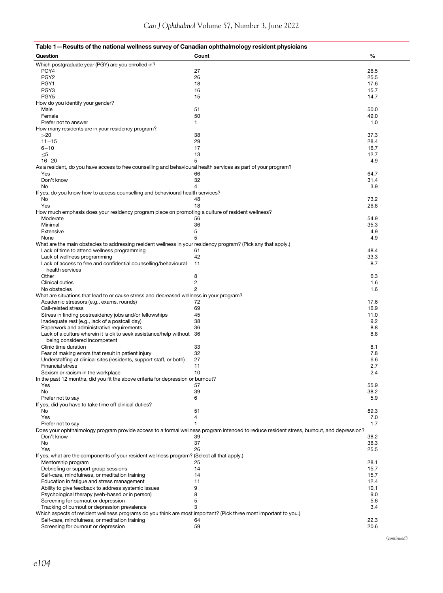# <span id="page-1-0"></span>Table 1—Results of the national wellness survey of Canadian ophthalmology resident physicians

| Question                                                                                                         | Count                                                                                                                                    | $\%$ |
|------------------------------------------------------------------------------------------------------------------|------------------------------------------------------------------------------------------------------------------------------------------|------|
| Which postgraduate year (PGY) are you enrolled in?                                                               |                                                                                                                                          |      |
| PGY4                                                                                                             | 27                                                                                                                                       | 26.5 |
| PGY <sub>2</sub>                                                                                                 | 26                                                                                                                                       | 25.5 |
| PGY1                                                                                                             | 18                                                                                                                                       | 17.6 |
| PGY <sub>3</sub>                                                                                                 | 16                                                                                                                                       | 15.7 |
| PGY <sub>5</sub>                                                                                                 | 15                                                                                                                                       | 14.7 |
|                                                                                                                  |                                                                                                                                          |      |
| How do you identify your gender?                                                                                 |                                                                                                                                          |      |
| Male                                                                                                             | 51                                                                                                                                       | 50.0 |
| Female                                                                                                           | 50                                                                                                                                       | 49.0 |
| Prefer not to answer                                                                                             | 1                                                                                                                                        | 1.0  |
| How many residents are in your residency program?                                                                |                                                                                                                                          |      |
| >20                                                                                                              | 38                                                                                                                                       | 37.3 |
| $11 - 15$                                                                                                        | 29                                                                                                                                       | 28.4 |
| $6 - 10$                                                                                                         | 17                                                                                                                                       | 16.7 |
| $\leq$ 5                                                                                                         | 13                                                                                                                                       | 12.7 |
| $16 - 20$                                                                                                        | 5                                                                                                                                        | 4.9  |
| As a resident, do you have access to free counselling and behavioural health services as part of your program?   |                                                                                                                                          |      |
| Yes                                                                                                              | 66                                                                                                                                       | 64.7 |
| Don't know                                                                                                       | 32                                                                                                                                       | 31.4 |
| No                                                                                                               | 4                                                                                                                                        | 3.9  |
|                                                                                                                  |                                                                                                                                          |      |
| If yes, do you know how to access counselling and behavioural health services?                                   |                                                                                                                                          |      |
| No                                                                                                               | 48                                                                                                                                       | 73.2 |
| Yes                                                                                                              | 18                                                                                                                                       | 26.8 |
| How much emphasis does your residency program place on promoting a culture of resident wellness?                 |                                                                                                                                          |      |
| Moderate                                                                                                         | 56                                                                                                                                       | 54.9 |
| Minimal                                                                                                          | 36                                                                                                                                       | 35.3 |
| Extensive                                                                                                        | 5                                                                                                                                        | 4.9  |
| None                                                                                                             | 5                                                                                                                                        | 4.9  |
| What are the main obstacles to addressing resident wellness in your residency program? (Pick any that apply.)    |                                                                                                                                          |      |
| Lack of time to attend wellness programming                                                                      | 61                                                                                                                                       | 48.4 |
| Lack of wellness programming                                                                                     | 42                                                                                                                                       | 33.3 |
| Lack of access to free and confidential counselling/behavioural                                                  | 11                                                                                                                                       | 8.7  |
|                                                                                                                  |                                                                                                                                          |      |
| health services                                                                                                  |                                                                                                                                          |      |
| Other                                                                                                            | 8                                                                                                                                        | 6.3  |
| <b>Clinical duties</b>                                                                                           | $\overline{c}$                                                                                                                           | 1.6  |
| No obstacles                                                                                                     | $\overline{2}$                                                                                                                           | 1.6  |
| What are situations that lead to or cause stress and decreased wellness in your program?                         |                                                                                                                                          |      |
| Academic stressors (e.g., exams, rounds)                                                                         | 72                                                                                                                                       | 17.6 |
| Call-related stress                                                                                              | 69                                                                                                                                       | 16.9 |
| Stress in finding postresidency jobs and/or fellowships                                                          | 45                                                                                                                                       | 11.0 |
| Inadequate rest (e.g., lack of a postcall day)                                                                   | 38                                                                                                                                       | 9.2  |
| Paperwork and administrative requirements                                                                        | 36                                                                                                                                       | 8.8  |
| Lack of a culture wherein it is ok to seek assistance/help without                                               | 36                                                                                                                                       | 8.8  |
|                                                                                                                  |                                                                                                                                          |      |
| being considered incompetent                                                                                     |                                                                                                                                          |      |
| Clinic time duration                                                                                             | 33                                                                                                                                       | 8.1  |
| Fear of making errors that result in patient injury                                                              | 32                                                                                                                                       | 7.8  |
| Understaffing at clinical sites (residents, support staff, or both)                                              | 27                                                                                                                                       | 6.6  |
| <b>Financial stress</b>                                                                                          | 11                                                                                                                                       | 2.7  |
| Sexism or racism in the workplace                                                                                | 10                                                                                                                                       | 2.4  |
| In the past 12 months, did you fit the above criteria for depression or burnout?                                 |                                                                                                                                          |      |
| Yes                                                                                                              | 57                                                                                                                                       | 55.9 |
| No                                                                                                               | 39                                                                                                                                       | 38.2 |
| Prefer not to say                                                                                                | 6                                                                                                                                        | 5.9  |
| If yes, did you have to take time off clinical duties?                                                           |                                                                                                                                          |      |
| No                                                                                                               | 51                                                                                                                                       | 89.3 |
| Yes                                                                                                              | 4                                                                                                                                        | 7.0  |
|                                                                                                                  | 1                                                                                                                                        | 1.7  |
| Prefer not to say                                                                                                |                                                                                                                                          |      |
|                                                                                                                  | Does your ophthalmology program provide access to a formal wellness program intended to reduce resident stress, burnout, and depression? |      |
| Don't know                                                                                                       | 39                                                                                                                                       | 38.2 |
| No                                                                                                               | 37                                                                                                                                       | 36.3 |
| Yes                                                                                                              | 26                                                                                                                                       | 25.5 |
| If yes, what are the components of your resident wellness program? (Select all that apply.)                      |                                                                                                                                          |      |
| Mentorship program                                                                                               | 25                                                                                                                                       | 28.1 |
| Debriefing or support group sessions                                                                             | 14                                                                                                                                       | 15.7 |
| Self-care, mindfulness, or meditation training                                                                   | 14                                                                                                                                       | 15.7 |
| Education in fatigue and stress management                                                                       | 11                                                                                                                                       | 12.4 |
| Ability to give feedback to address systemic issues                                                              | 9                                                                                                                                        | 10.1 |
| Psychological therapy (web-based or in person)                                                                   | 8                                                                                                                                        | 9.0  |
|                                                                                                                  | 5                                                                                                                                        | 5.6  |
| Screening for burnout or depression                                                                              |                                                                                                                                          |      |
| Tracking of burnout or depression prevalence                                                                     | 3                                                                                                                                        | 3.4  |
| Which aspects of resident wellness programs do you think are most important? (Pick three most important to you.) |                                                                                                                                          |      |
| Self-care, mindfulness, or meditation training                                                                   | 64                                                                                                                                       | 22.3 |
| Screening for burnout or depression                                                                              | 59                                                                                                                                       | 20.6 |

(continued)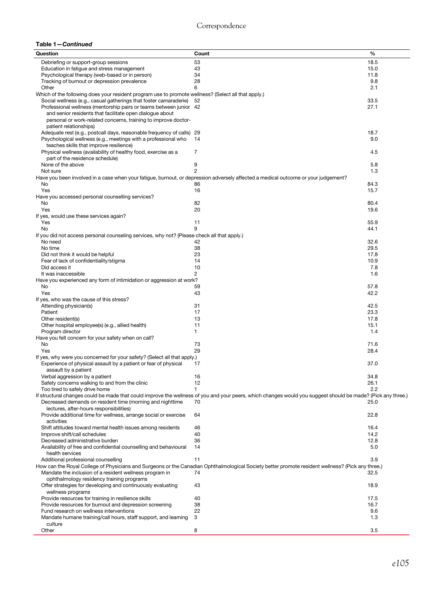#### Table 1—Continued

| Question                                                                                                                           | Count                                                                                                                                                        | %    |  |
|------------------------------------------------------------------------------------------------------------------------------------|--------------------------------------------------------------------------------------------------------------------------------------------------------------|------|--|
| Debriefing or support-group sessions                                                                                               | 53                                                                                                                                                           | 18.5 |  |
| Education in fatigue and stress management                                                                                         | 43                                                                                                                                                           | 15.0 |  |
| Psychological therapy (web-based or in person)                                                                                     | 34                                                                                                                                                           | 11.8 |  |
| Tracking of burnout or depression prevalence                                                                                       | 28                                                                                                                                                           | 9.8  |  |
| Other                                                                                                                              | 6                                                                                                                                                            | 2.1  |  |
| Which of the following does your resident program use to promote wellness? (Select all that apply.)                                |                                                                                                                                                              |      |  |
| Social wellness (e.g., casual gatherings that foster camaraderie)                                                                  | 52                                                                                                                                                           | 33.5 |  |
| Professional wellness (mentorship pairs or teams between junior 42                                                                 |                                                                                                                                                              | 27.1 |  |
|                                                                                                                                    |                                                                                                                                                              |      |  |
| and senior residents that facilitate open dialogue about                                                                           |                                                                                                                                                              |      |  |
| personal or work-related concerns, training to improve doctor-                                                                     |                                                                                                                                                              |      |  |
| patient relationships)                                                                                                             |                                                                                                                                                              |      |  |
| Adequate rest (e.g., postcall days, reasonable frequency of calls) 29                                                              |                                                                                                                                                              | 18.7 |  |
| Psychological wellness (e.g., meetings with a professional who                                                                     | 14                                                                                                                                                           | 9.0  |  |
| teaches skills that improve resilience)                                                                                            |                                                                                                                                                              |      |  |
| Physical wellness (availability of healthy food, exercise as a                                                                     | 7                                                                                                                                                            | 4.5  |  |
| part of the residence schedule)                                                                                                    |                                                                                                                                                              |      |  |
| None of the above                                                                                                                  | 9                                                                                                                                                            | 5.8  |  |
| Not sure                                                                                                                           | 2                                                                                                                                                            | 1.3  |  |
| Have you been involved in a case when your fatigue, burnout, or depression adversely affected a medical outcome or your judgement? |                                                                                                                                                              |      |  |
| No                                                                                                                                 | 86                                                                                                                                                           | 84.3 |  |
| Yes                                                                                                                                | 16                                                                                                                                                           | 15.7 |  |
| Have you accessed personal counselling services?                                                                                   |                                                                                                                                                              |      |  |
| No                                                                                                                                 | 82                                                                                                                                                           | 80.4 |  |
| Yes                                                                                                                                | 20                                                                                                                                                           | 19.6 |  |
| If yes, would use these services again?                                                                                            |                                                                                                                                                              |      |  |
| Yes                                                                                                                                | 11                                                                                                                                                           | 55.9 |  |
|                                                                                                                                    | 9                                                                                                                                                            |      |  |
| No                                                                                                                                 |                                                                                                                                                              | 44.1 |  |
| If you did not access personal counseling services, why not? (Please check all that apply.)                                        |                                                                                                                                                              |      |  |
| No need                                                                                                                            | 42                                                                                                                                                           | 32.6 |  |
| No time                                                                                                                            | 38                                                                                                                                                           | 29.5 |  |
| Did not think it would be helpful                                                                                                  | 23                                                                                                                                                           | 17.8 |  |
| Fear of lack of confidentiality/stigma                                                                                             | 14                                                                                                                                                           | 10.9 |  |
| Did access it                                                                                                                      | 10                                                                                                                                                           | 7.8  |  |
| It was inaccessible                                                                                                                | $\overline{c}$                                                                                                                                               | 1.6  |  |
| Have you experienced any form of intimidation or aggression at work?                                                               |                                                                                                                                                              |      |  |
| No                                                                                                                                 | 59                                                                                                                                                           | 57.8 |  |
| Yes                                                                                                                                | 43                                                                                                                                                           | 42.2 |  |
| If yes, who was the cause of this stress?                                                                                          |                                                                                                                                                              |      |  |
| Attending physician(s)                                                                                                             | 31                                                                                                                                                           | 42.5 |  |
| Patient                                                                                                                            | 17                                                                                                                                                           | 23.3 |  |
| Other resident(s)                                                                                                                  | 13                                                                                                                                                           | 17.8 |  |
| Other hospital employee(s) (e.g., allied health)                                                                                   | 11                                                                                                                                                           | 15.1 |  |
|                                                                                                                                    |                                                                                                                                                              |      |  |
| Program director<br>1<br>1.4                                                                                                       |                                                                                                                                                              |      |  |
| Have you felt concern for your safety when on call?                                                                                |                                                                                                                                                              |      |  |
| No                                                                                                                                 | 73                                                                                                                                                           | 71.6 |  |
| Yes                                                                                                                                | 29                                                                                                                                                           | 28.4 |  |
| If yes, why were you concerned for your safety? (Select all that apply.)                                                           |                                                                                                                                                              |      |  |
| Experience of physical assault by a patient or fear of physical                                                                    | 17                                                                                                                                                           | 37.0 |  |
| assault by a patient                                                                                                               |                                                                                                                                                              |      |  |
| Verbal aggression by a patient                                                                                                     | 16                                                                                                                                                           | 34.8 |  |
| Safety concerns walking to and from the clinic                                                                                     | 12                                                                                                                                                           | 26.1 |  |
| Too tired to safely drive home                                                                                                     | 1                                                                                                                                                            | 2.2  |  |
|                                                                                                                                    | If structural changes could be made that could improve the wellness of you and your peers, which changes would you suggest should be made? (Pick any three.) |      |  |
| Decreased demands on resident time (morning and nighttime                                                                          | 70                                                                                                                                                           | 25.0 |  |
| lectures, after-hours responsibilities)                                                                                            |                                                                                                                                                              |      |  |
| Provide additional time for wellness, arrange social or exercise                                                                   | 64                                                                                                                                                           | 22.8 |  |
| activities                                                                                                                         |                                                                                                                                                              |      |  |
| Shift attitudes toward mental health issues among residents                                                                        | 46                                                                                                                                                           | 16.4 |  |
| Improve shift/call schedules                                                                                                       | 40                                                                                                                                                           | 14.2 |  |
| Decreased administrative burden                                                                                                    | 36                                                                                                                                                           | 12.8 |  |
| Availability of free and confidential counselling and behavioural                                                                  | 14                                                                                                                                                           | 5.0  |  |
| health services                                                                                                                    |                                                                                                                                                              |      |  |
|                                                                                                                                    |                                                                                                                                                              |      |  |
| Additional professional counselling                                                                                                | 11                                                                                                                                                           | 3.9  |  |
|                                                                                                                                    | How can the Royal College of Physicians and Surgeons or the Canadian Ophthalmological Society better promote resident wellness? (Pick any three.)            |      |  |
| Mandate the inclusion of a resident wellness program in                                                                            | 74                                                                                                                                                           | 32.5 |  |
| ophthalmology residency training programs                                                                                          |                                                                                                                                                              |      |  |
| Offer strategies for developing and continuously evaluating                                                                        | 43                                                                                                                                                           | 18.9 |  |
| wellness programs                                                                                                                  |                                                                                                                                                              |      |  |
| Provide resources for training in resilience skills                                                                                | 40                                                                                                                                                           | 17.5 |  |
| Provide resources for burnout and depression screening                                                                             | 38                                                                                                                                                           | 16.7 |  |
| Fund research on wellness interventions                                                                                            | 22                                                                                                                                                           | 9.6  |  |
| Mandate humane training/call hours, staff support, and learning                                                                    | 3                                                                                                                                                            | 1.3  |  |
| culture                                                                                                                            |                                                                                                                                                              |      |  |
| Other                                                                                                                              | 8                                                                                                                                                            | 3.5  |  |
|                                                                                                                                    |                                                                                                                                                              |      |  |